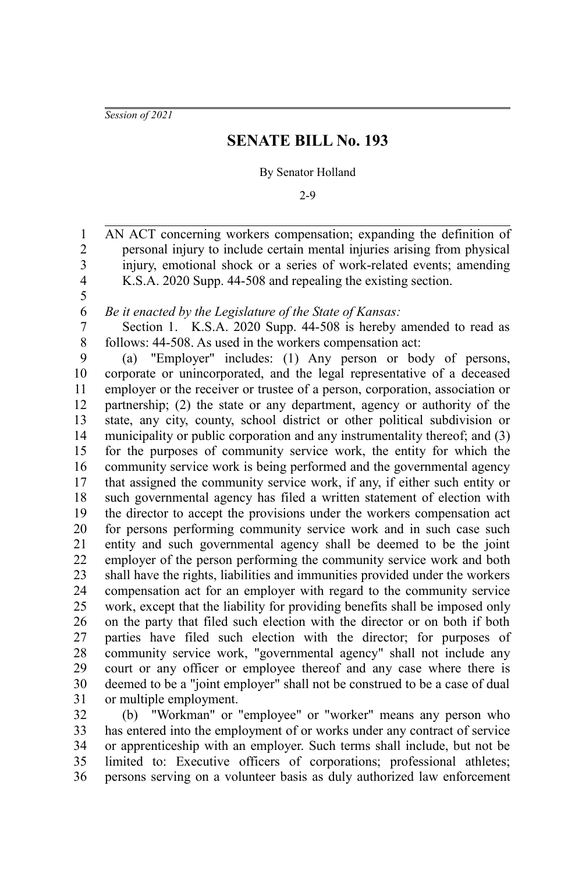*Session of 2021*

5

## **SENATE BILL No. 193**

## By Senator Holland

2-9

AN ACT concerning workers compensation; expanding the definition of personal injury to include certain mental injuries arising from physical injury, emotional shock or a series of work-related events; amending K.S.A. 2020 Supp. 44-508 and repealing the existing section. 1 2 3 4

*Be it enacted by the Legislature of the State of Kansas:* 6

Section 1. K.S.A. 2020 Supp. 44-508 is hereby amended to read as follows: 44-508. As used in the workers compensation act: 7 8

(a) "Employer" includes: (1) Any person or body of persons, corporate or unincorporated, and the legal representative of a deceased employer or the receiver or trustee of a person, corporation, association or partnership; (2) the state or any department, agency or authority of the state, any city, county, school district or other political subdivision or municipality or public corporation and any instrumentality thereof; and (3) for the purposes of community service work, the entity for which the community service work is being performed and the governmental agency that assigned the community service work, if any, if either such entity or such governmental agency has filed a written statement of election with the director to accept the provisions under the workers compensation act for persons performing community service work and in such case such entity and such governmental agency shall be deemed to be the joint employer of the person performing the community service work and both shall have the rights, liabilities and immunities provided under the workers compensation act for an employer with regard to the community service work, except that the liability for providing benefits shall be imposed only on the party that filed such election with the director or on both if both parties have filed such election with the director; for purposes of community service work, "governmental agency" shall not include any court or any officer or employee thereof and any case where there is deemed to be a "joint employer" shall not be construed to be a case of dual or multiple employment. 9 10 11 12 13 14 15 16 17 18 19 20 21 22 23 24 25 26 27 28 29 30 31

(b) "Workman" or "employee" or "worker" means any person who has entered into the employment of or works under any contract of service or apprenticeship with an employer. Such terms shall include, but not be limited to: Executive officers of corporations; professional athletes; persons serving on a volunteer basis as duly authorized law enforcement 32 33 34 35 36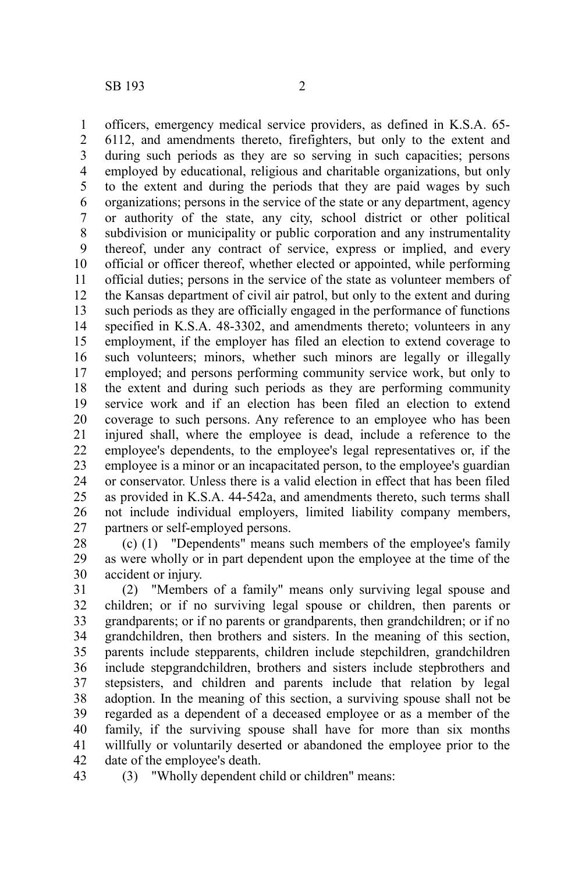officers, emergency medical service providers, as defined in K.S.A. 65- 6112, and amendments thereto, firefighters, but only to the extent and during such periods as they are so serving in such capacities; persons employed by educational, religious and charitable organizations, but only to the extent and during the periods that they are paid wages by such organizations; persons in the service of the state or any department, agency or authority of the state, any city, school district or other political subdivision or municipality or public corporation and any instrumentality thereof, under any contract of service, express or implied, and every official or officer thereof, whether elected or appointed, while performing official duties; persons in the service of the state as volunteer members of the Kansas department of civil air patrol, but only to the extent and during such periods as they are officially engaged in the performance of functions specified in K.S.A. 48-3302, and amendments thereto; volunteers in any employment, if the employer has filed an election to extend coverage to such volunteers; minors, whether such minors are legally or illegally employed; and persons performing community service work, but only to the extent and during such periods as they are performing community service work and if an election has been filed an election to extend coverage to such persons. Any reference to an employee who has been injured shall, where the employee is dead, include a reference to the employee's dependents, to the employee's legal representatives or, if the employee is a minor or an incapacitated person, to the employee's guardian or conservator. Unless there is a valid election in effect that has been filed as provided in K.S.A. 44-542a, and amendments thereto, such terms shall not include individual employers, limited liability company members, partners or self-employed persons. 1 2 3 4 5 6 7 8 9 10 11 12 13 14 15 16 17 18 19 20 21 22 23 24 25 26 27

(c) (1) "Dependents" means such members of the employee's family as were wholly or in part dependent upon the employee at the time of the accident or injury. 28 29 30

(2) "Members of a family" means only surviving legal spouse and children; or if no surviving legal spouse or children, then parents or grandparents; or if no parents or grandparents, then grandchildren; or if no grandchildren, then brothers and sisters. In the meaning of this section, parents include stepparents, children include stepchildren, grandchildren include stepgrandchildren, brothers and sisters include stepbrothers and stepsisters, and children and parents include that relation by legal adoption. In the meaning of this section, a surviving spouse shall not be regarded as a dependent of a deceased employee or as a member of the family, if the surviving spouse shall have for more than six months willfully or voluntarily deserted or abandoned the employee prior to the date of the employee's death. 31 32 33 34 35 36 37 38 39 40 41 42

43

(3) "Wholly dependent child or children" means: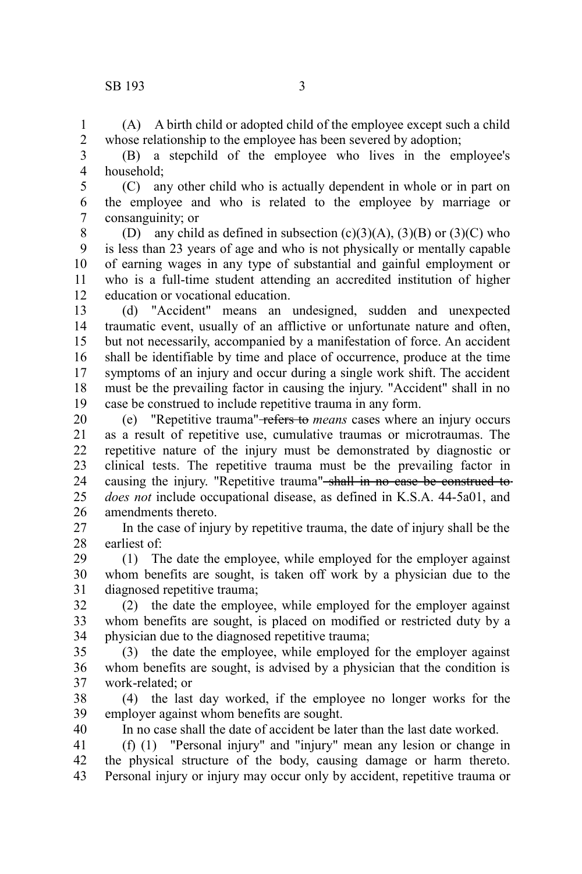(A) A birth child or adopted child of the employee except such a child whose relationship to the employee has been severed by adoption; 1 2

(B) a stepchild of the employee who lives in the employee's household; 3 4

(C) any other child who is actually dependent in whole or in part on the employee and who is related to the employee by marriage or consanguinity; or 5 6 7

(D) any child as defined in subsection  $(c)(3)(A)$ ,  $(3)(B)$  or  $(3)(C)$  who is less than 23 years of age and who is not physically or mentally capable of earning wages in any type of substantial and gainful employment or who is a full-time student attending an accredited institution of higher education or vocational education. 8 9 10 11 12

(d) "Accident" means an undesigned, sudden and unexpected traumatic event, usually of an afflictive or unfortunate nature and often, but not necessarily, accompanied by a manifestation of force. An accident shall be identifiable by time and place of occurrence, produce at the time symptoms of an injury and occur during a single work shift. The accident must be the prevailing factor in causing the injury. "Accident" shall in no case be construed to include repetitive trauma in any form. 13 14 15 16 17 18 19

(e) "Repetitive trauma" refers to *means* cases where an injury occurs as a result of repetitive use, cumulative traumas or microtraumas. The repetitive nature of the injury must be demonstrated by diagnostic or clinical tests. The repetitive trauma must be the prevailing factor in causing the injury. "Repetitive trauma" shall in no case be construed to *does not* include occupational disease, as defined in K.S.A. 44-5a01, and amendments thereto. 20 21 22 23 24 25 26

In the case of injury by repetitive trauma, the date of injury shall be the earliest of: 27 28

(1) The date the employee, while employed for the employer against whom benefits are sought, is taken off work by a physician due to the diagnosed repetitive trauma; 29 30 31

(2) the date the employee, while employed for the employer against whom benefits are sought, is placed on modified or restricted duty by a physician due to the diagnosed repetitive trauma; 32 33 34

(3) the date the employee, while employed for the employer against whom benefits are sought, is advised by a physician that the condition is work-related; or 35 36 37

(4) the last day worked, if the employee no longer works for the employer against whom benefits are sought. 38 39

40

In no case shall the date of accident be later than the last date worked.

(f) (1) "Personal injury" and "injury" mean any lesion or change in the physical structure of the body, causing damage or harm thereto. Personal injury or injury may occur only by accident, repetitive trauma or 41 42 43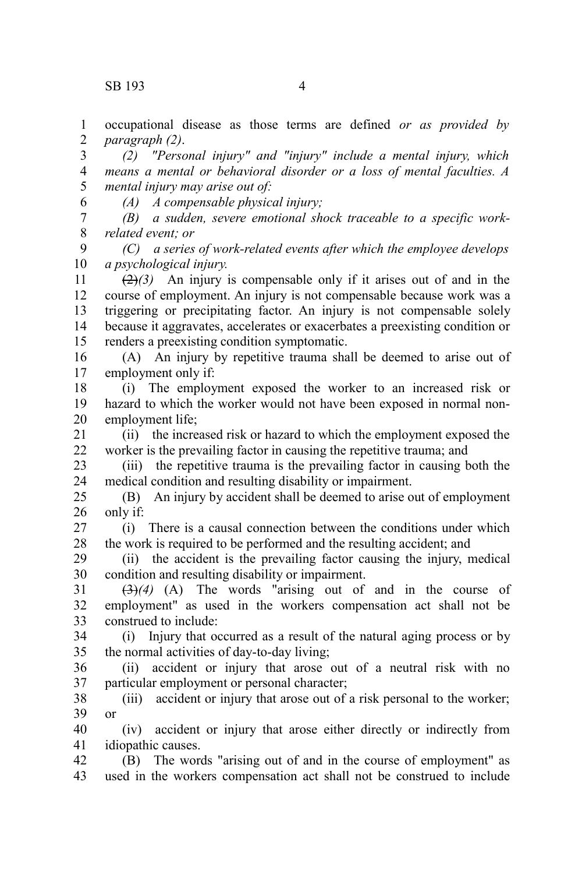occupational disease as those terms are defined *or as provided by paragraph (2)*. 1 2

*(2) "Personal injury" and "injury" include a mental injury, which means a mental or behavioral disorder or a loss of mental faculties. A mental injury may arise out of:* 3 4 5

6

*(A) A compensable physical injury;* 

*(B) a sudden, severe emotional shock traceable to a specific workrelated event; or* 7 8

*(C) a series of work-related events after which the employee develops a psychological injury.* 9 10

 $(2)(3)$  An injury is compensable only if it arises out of and in the course of employment. An injury is not compensable because work was a triggering or precipitating factor. An injury is not compensable solely because it aggravates, accelerates or exacerbates a preexisting condition or renders a preexisting condition symptomatic. 11 12 13 14 15

(A) An injury by repetitive trauma shall be deemed to arise out of employment only if: 16 17

(i) The employment exposed the worker to an increased risk or hazard to which the worker would not have been exposed in normal nonemployment life; 18 19 20

(ii) the increased risk or hazard to which the employment exposed the worker is the prevailing factor in causing the repetitive trauma; and 21 22

(iii) the repetitive trauma is the prevailing factor in causing both the medical condition and resulting disability or impairment. 23 24

(B) An injury by accident shall be deemed to arise out of employment only if: 25 26

(i) There is a causal connection between the conditions under which the work is required to be performed and the resulting accident; and 27 28

(ii) the accident is the prevailing factor causing the injury, medical condition and resulting disability or impairment. 29 30

(3)*(4)* (A) The words "arising out of and in the course of employment" as used in the workers compensation act shall not be construed to include: 31 32 33

(i) Injury that occurred as a result of the natural aging process or by the normal activities of day-to-day living; 34 35

(ii) accident or injury that arose out of a neutral risk with no particular employment or personal character; 36 37

(iii) accident or injury that arose out of a risk personal to the worker; or 38 39

(iv) accident or injury that arose either directly or indirectly from idiopathic causes. 40 41

(B) The words "arising out of and in the course of employment" as used in the workers compensation act shall not be construed to include 42 43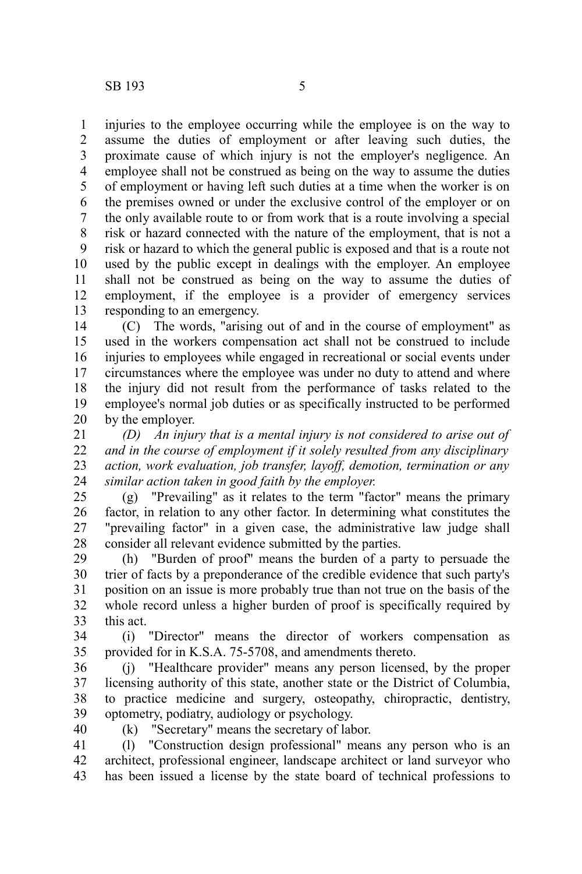injuries to the employee occurring while the employee is on the way to assume the duties of employment or after leaving such duties, the proximate cause of which injury is not the employer's negligence. An employee shall not be construed as being on the way to assume the duties of employment or having left such duties at a time when the worker is on the premises owned or under the exclusive control of the employer or on the only available route to or from work that is a route involving a special risk or hazard connected with the nature of the employment, that is not a risk or hazard to which the general public is exposed and that is a route not used by the public except in dealings with the employer. An employee shall not be construed as being on the way to assume the duties of employment, if the employee is a provider of emergency services responding to an emergency. 1 2 3 4 5 6 7 8 9 10 11 12 13

(C) The words, "arising out of and in the course of employment" as used in the workers compensation act shall not be construed to include injuries to employees while engaged in recreational or social events under circumstances where the employee was under no duty to attend and where the injury did not result from the performance of tasks related to the employee's normal job duties or as specifically instructed to be performed by the employer. 14 15 16 17 18 19 20

*(D) An injury that is a mental injury is not considered to arise out of and in the course of employment if it solely resulted from any disciplinary action, work evaluation, job transfer, layoff, demotion, termination or any similar action taken in good faith by the employer.* 21 22 23 24

(g) "Prevailing" as it relates to the term "factor" means the primary factor, in relation to any other factor. In determining what constitutes the "prevailing factor" in a given case, the administrative law judge shall consider all relevant evidence submitted by the parties. 25 26 27 28

(h) "Burden of proof" means the burden of a party to persuade the trier of facts by a preponderance of the credible evidence that such party's position on an issue is more probably true than not true on the basis of the whole record unless a higher burden of proof is specifically required by this act. 29 30 31 32 33

(i) "Director" means the director of workers compensation as provided for in K.S.A. 75-5708, and amendments thereto. 34 35

(j) "Healthcare provider" means any person licensed, by the proper licensing authority of this state, another state or the District of Columbia, to practice medicine and surgery, osteopathy, chiropractic, dentistry, optometry, podiatry, audiology or psychology. 36 37 38 39

40

(k) "Secretary" means the secretary of labor.

(l) "Construction design professional" means any person who is an architect, professional engineer, landscape architect or land surveyor who has been issued a license by the state board of technical professions to 41 42 43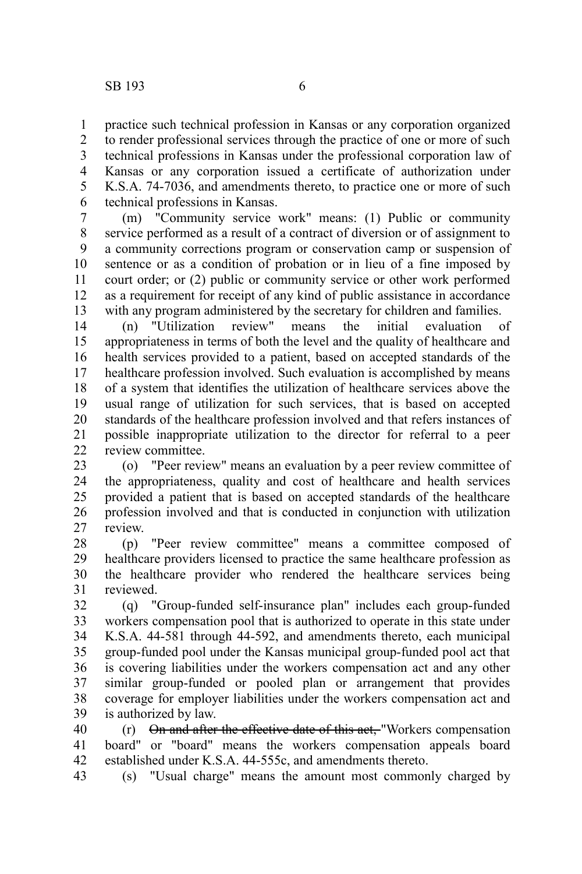practice such technical profession in Kansas or any corporation organized to render professional services through the practice of one or more of such technical professions in Kansas under the professional corporation law of Kansas or any corporation issued a certificate of authorization under 1 2 3 4

K.S.A. 74-7036, and amendments thereto, to practice one or more of such technical professions in Kansas. 5 6

(m) "Community service work" means: (1) Public or community service performed as a result of a contract of diversion or of assignment to a community corrections program or conservation camp or suspension of sentence or as a condition of probation or in lieu of a fine imposed by court order; or (2) public or community service or other work performed as a requirement for receipt of any kind of public assistance in accordance with any program administered by the secretary for children and families. 7 8 9 10 11 12 13

(n) "Utilization review" means the initial evaluation of appropriateness in terms of both the level and the quality of healthcare and health services provided to a patient, based on accepted standards of the healthcare profession involved. Such evaluation is accomplished by means of a system that identifies the utilization of healthcare services above the usual range of utilization for such services, that is based on accepted standards of the healthcare profession involved and that refers instances of possible inappropriate utilization to the director for referral to a peer review committee. 14 15 16 17 18 19 20 21  $22$ 

(o) "Peer review" means an evaluation by a peer review committee of the appropriateness, quality and cost of healthcare and health services provided a patient that is based on accepted standards of the healthcare profession involved and that is conducted in conjunction with utilization review. 23 24 25 26 27

(p) "Peer review committee" means a committee composed of healthcare providers licensed to practice the same healthcare profession as the healthcare provider who rendered the healthcare services being reviewed. 28 29 30 31

(q) "Group-funded self-insurance plan" includes each group-funded workers compensation pool that is authorized to operate in this state under K.S.A. 44-581 through 44-592, and amendments thereto, each municipal group-funded pool under the Kansas municipal group-funded pool act that is covering liabilities under the workers compensation act and any other similar group-funded or pooled plan or arrangement that provides coverage for employer liabilities under the workers compensation act and is authorized by law. 32 33 34 35 36 37 38 39

(r) On and after the effective date of this act, "Workers compensation board" or "board" means the workers compensation appeals board established under K.S.A. 44-555c, and amendments thereto. 40 41 42

(s) "Usual charge" means the amount most commonly charged by 43